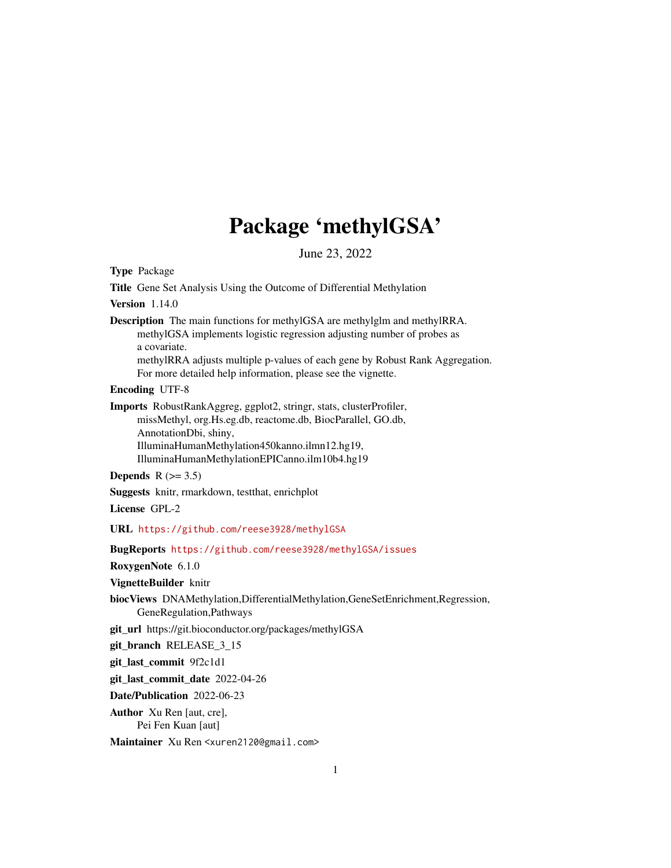# Package 'methylGSA'

June 23, 2022

<span id="page-0-0"></span>Type Package

Title Gene Set Analysis Using the Outcome of Differential Methylation

#### Version 1.14.0

Description The main functions for methylGSA are methylglm and methylRRA. methylGSA implements logistic regression adjusting number of probes as a covariate.

methylRRA adjusts multiple p-values of each gene by Robust Rank Aggregation. For more detailed help information, please see the vignette.

Encoding UTF-8

Imports RobustRankAggreg, ggplot2, stringr, stats, clusterProfiler, missMethyl, org.Hs.eg.db, reactome.db, BiocParallel, GO.db, AnnotationDbi, shiny, IlluminaHumanMethylation450kanno.ilmn12.hg19, IlluminaHumanMethylationEPICanno.ilm10b4.hg19

Depends  $R$  ( $>= 3.5$ )

Suggests knitr, rmarkdown, testthat, enrichplot

License GPL-2

URL <https://github.com/reese3928/methylGSA>

BugReports <https://github.com/reese3928/methylGSA/issues>

RoxygenNote 6.1.0

VignetteBuilder knitr

biocViews DNAMethylation,DifferentialMethylation,GeneSetEnrichment,Regression, GeneRegulation,Pathways

git\_url https://git.bioconductor.org/packages/methylGSA

git\_branch RELEASE\_3\_15

git\_last\_commit 9f2c1d1

git\_last\_commit\_date 2022-04-26

Date/Publication 2022-06-23

Author Xu Ren [aut, cre], Pei Fen Kuan [aut]

Maintainer Xu Ren <xuren2120@gmail.com>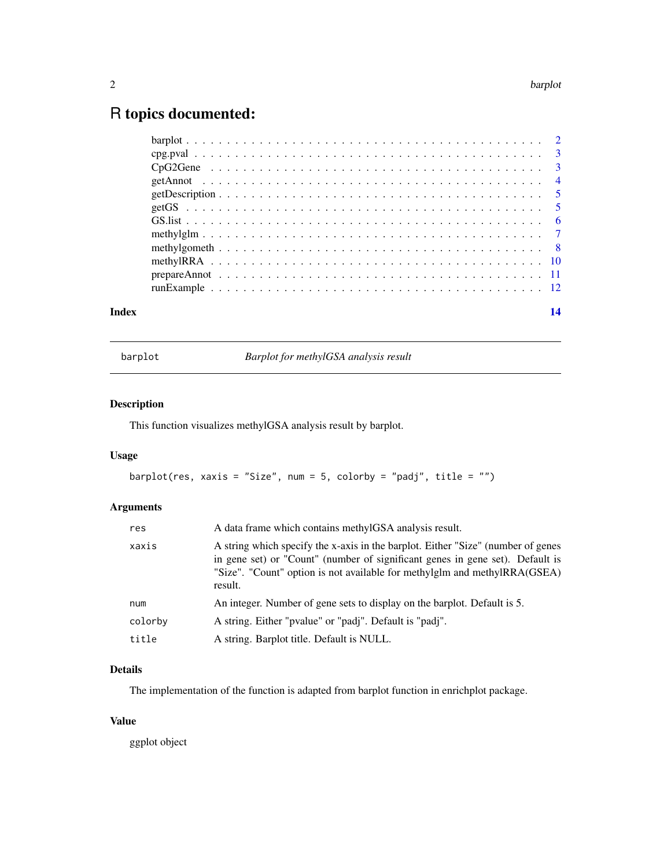## <span id="page-1-0"></span>R topics documented:

| Index | 14 |
|-------|----|
|       |    |
|       |    |
|       |    |
|       |    |
|       |    |
|       |    |
|       |    |
|       |    |
|       |    |
|       |    |
|       |    |
|       |    |

barplot *Barplot for methylGSA analysis result*

#### Description

This function visualizes methylGSA analysis result by barplot.

#### Usage

barplot(res, xaxis = "Size", num = 5, colorby = "padj", title = "")

#### Arguments

| res.    | A data frame which contains methylGSA analysis result.                                                                                                                                                                                                    |
|---------|-----------------------------------------------------------------------------------------------------------------------------------------------------------------------------------------------------------------------------------------------------------|
| xaxis   | A string which specify the x-axis in the barplot. Either "Size" (number of genes<br>in gene set) or "Count" (number of significant genes in gene set). Default is<br>"Size". "Count" option is not available for methylglm and methylRRA(GSEA)<br>result. |
| num     | An integer. Number of gene sets to display on the barplot. Default is 5.                                                                                                                                                                                  |
| colorby | A string. Either "pvalue" or "padi". Default is "padi".                                                                                                                                                                                                   |
| title   | A string. Barplot title. Default is NULL.                                                                                                                                                                                                                 |
|         |                                                                                                                                                                                                                                                           |

#### Details

The implementation of the function is adapted from barplot function in enrichplot package.

#### Value

ggplot object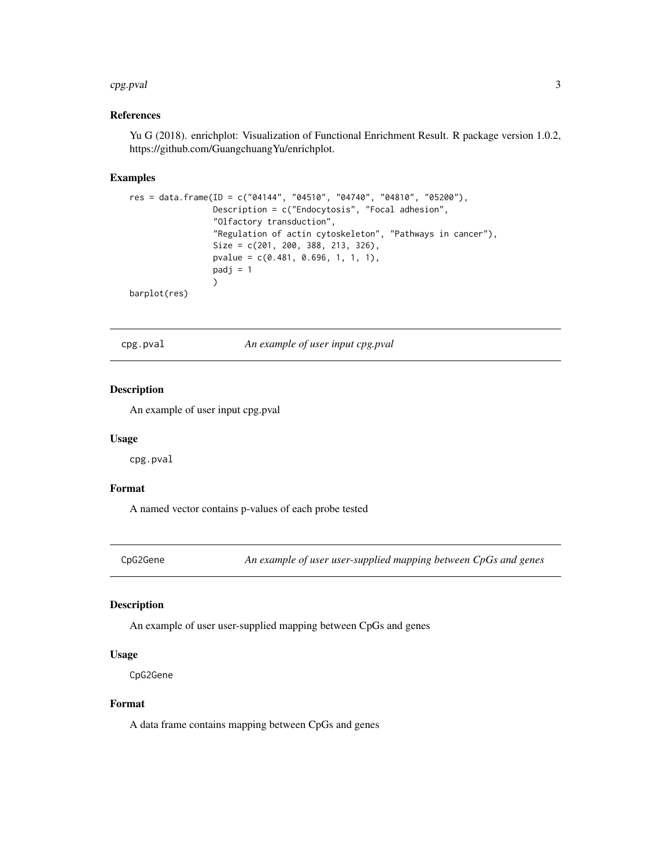#### <span id="page-2-0"></span>cpg.pval 3

#### References

Yu G (2018). enrichplot: Visualization of Functional Enrichment Result. R package version 1.0.2, https://github.com/GuangchuangYu/enrichplot.

#### Examples

```
res = data.frame(ID = c("04144", "04510", "04740", "04810", "05200"),
                 Description = c("Endocytosis", "Focal adhesion",
                 "Olfactory transduction",
                 "Regulation of actin cytoskeleton", "Pathways in cancer"),
                 Size = c(201, 200, 388, 213, 326),
                 pvalue = c(0.481, 0.696, 1, 1, 1),
                 padj = 1\mathcal{L}barplot(res)
```
cpg.pval *An example of user input cpg.pval*

#### Description

An example of user input cpg.pval

#### Usage

cpg.pval

#### Format

A named vector contains p-values of each probe tested

CpG2Gene *An example of user user-supplied mapping between CpGs and genes*

#### Description

An example of user user-supplied mapping between CpGs and genes

#### Usage

CpG2Gene

#### Format

A data frame contains mapping between CpGs and genes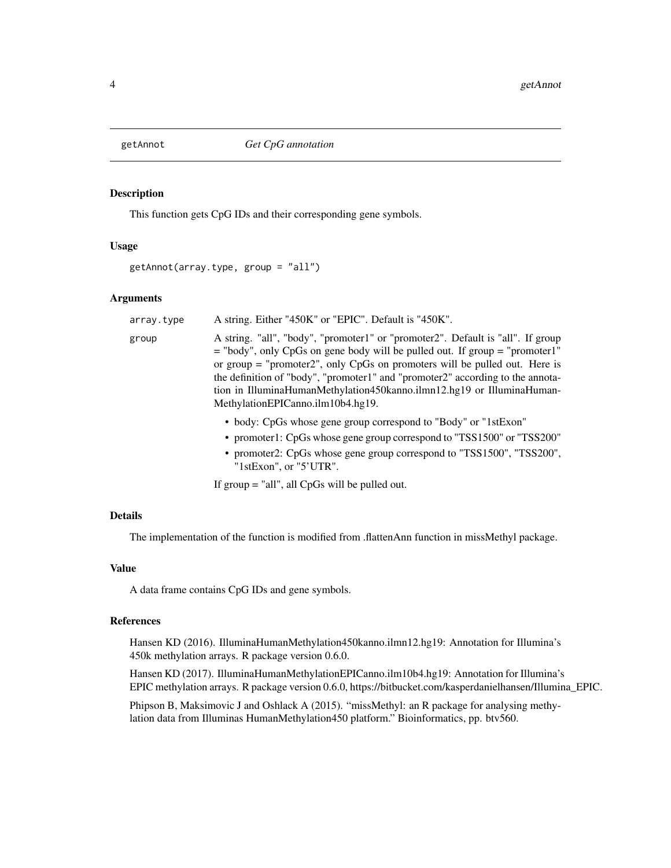<span id="page-3-0"></span>

#### **Description**

This function gets CpG IDs and their corresponding gene symbols.

#### Usage

```
getAnnot(array.type, group = "all")
```
#### **Arguments**

| array.type | A string. Either "450K" or "EPIC". Default is "450K".                                                                                                                                                                                                                                                                                                                                                                                               |
|------------|-----------------------------------------------------------------------------------------------------------------------------------------------------------------------------------------------------------------------------------------------------------------------------------------------------------------------------------------------------------------------------------------------------------------------------------------------------|
| group      | A string. "all", "body", "promoter1" or "promoter2". Default is "all". If group<br>$=$ "body", only CpGs on gene body will be pulled out. If group $=$ "promoter1"<br>or group $=$ "promoter2", only CpGs on promoters will be pulled out. Here is<br>the definition of "body", "promoter1" and "promoter2" according to the annota-<br>tion in IlluminaHumanMethylation450kanno.ilmn12.hg19 or IlluminaHuman-<br>MethylationEPICanno.ilm10b4.hg19. |
|            | • body: CpGs whose gene group correspond to "Body" or "1stExon"<br>• promoter1: CpGs whose gene group correspond to "TSS1500" or "TSS200"<br>• promoter2: CpGs whose gene group correspond to "TSS1500", "TSS200",<br>" $1stExon$ ", or " $5'UTR$ ".                                                                                                                                                                                                |

If group = "all", all CpGs will be pulled out.

#### Details

The implementation of the function is modified from .flattenAnn function in missMethyl package.

#### Value

A data frame contains CpG IDs and gene symbols.

#### References

Hansen KD (2016). IlluminaHumanMethylation450kanno.ilmn12.hg19: Annotation for Illumina's 450k methylation arrays. R package version 0.6.0.

Hansen KD (2017). IlluminaHumanMethylationEPICanno.ilm10b4.hg19: Annotation for Illumina's EPIC methylation arrays. R package version 0.6.0, https://bitbucket.com/kasperdanielhansen/Illumina\_EPIC.

Phipson B, Maksimovic J and Oshlack A (2015). "missMethyl: an R package for analysing methylation data from Illuminas HumanMethylation450 platform." Bioinformatics, pp. btv560.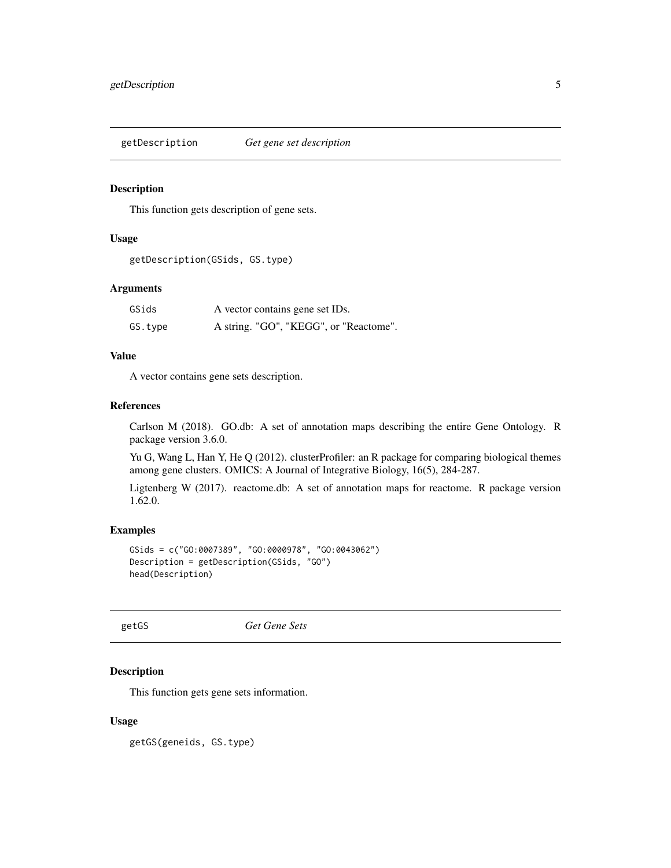<span id="page-4-0"></span>getDescription *Get gene set description*

#### Description

This function gets description of gene sets.

#### Usage

```
getDescription(GSids, GS.type)
```
#### Arguments

| GSids   | A vector contains gene set IDs.        |
|---------|----------------------------------------|
| GS.type | A string. "GO", "KEGG", or "Reactome". |

#### Value

A vector contains gene sets description.

#### References

Carlson M (2018). GO.db: A set of annotation maps describing the entire Gene Ontology. R package version 3.6.0.

Yu G, Wang L, Han Y, He Q (2012). clusterProfiler: an R package for comparing biological themes among gene clusters. OMICS: A Journal of Integrative Biology, 16(5), 284-287.

Ligtenberg W (2017). reactome.db: A set of annotation maps for reactome. R package version 1.62.0.

#### Examples

```
GSids = c("GO:0007389", "GO:0000978", "GO:0043062")
Description = getDescription(GSids, "GO")
head(Description)
```
getGS *Get Gene Sets*

#### Description

This function gets gene sets information.

#### Usage

getGS(geneids, GS.type)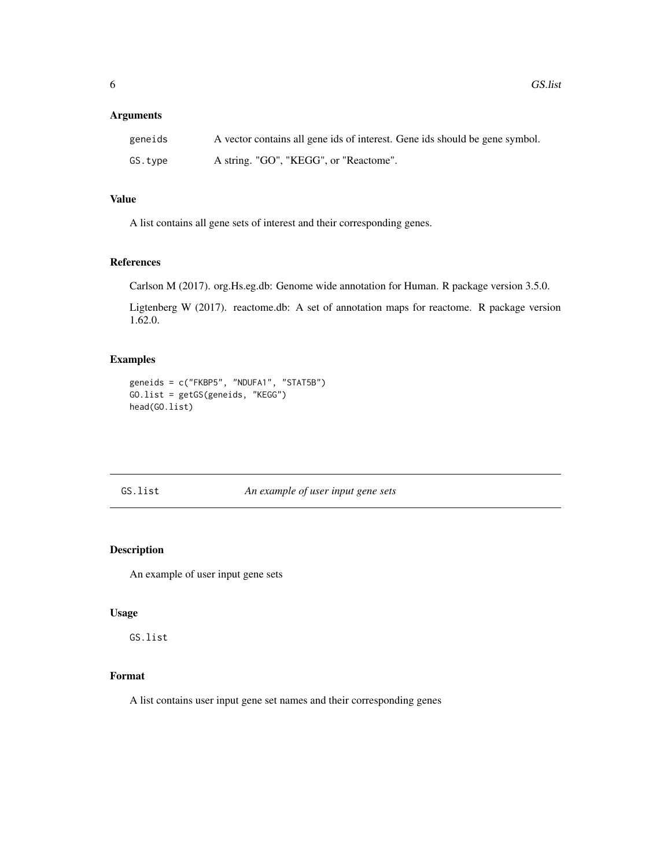#### <span id="page-5-0"></span>Arguments

| geneids | A vector contains all gene ids of interest. Gene ids should be gene symbol. |
|---------|-----------------------------------------------------------------------------|
| GS.tvpe | A string. "GO", "KEGG", or "Reactome".                                      |

#### Value

A list contains all gene sets of interest and their corresponding genes.

#### References

Carlson M (2017). org.Hs.eg.db: Genome wide annotation for Human. R package version 3.5.0.

Ligtenberg W (2017). reactome.db: A set of annotation maps for reactome. R package version 1.62.0.

#### Examples

```
geneids = c("FKBP5", "NDUFA1", "STAT5B")
GO.list = getGS(geneids, "KEGG")
head(GO.list)
```
GS.list *An example of user input gene sets*

#### Description

An example of user input gene sets

#### Usage

GS.list

#### Format

A list contains user input gene set names and their corresponding genes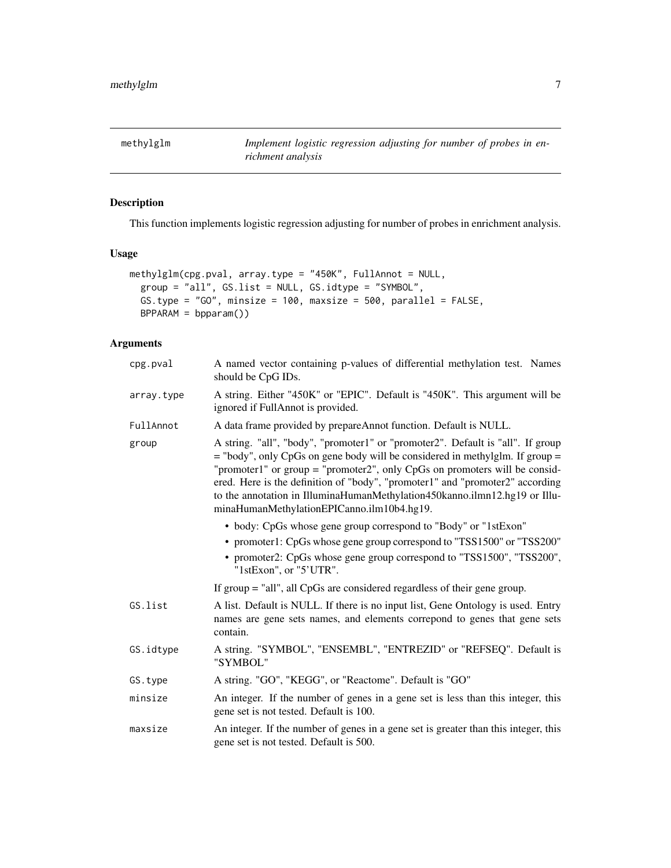<span id="page-6-0"></span>

#### Description

This function implements logistic regression adjusting for number of probes in enrichment analysis.

#### Usage

```
methylglm(cpg.pval, array.type = "450K", FullAnnot = NULL,
 group = "all", GS.list = NULL, GS.idtype = "SYMBOL",
 GS.type = "GO", minsize = 100, maxsize = 500, parallel = FALSE,
 BPPARAM = bpparam())
```
### Arguments

| cpg.pval   | A named vector containing p-values of differential methylation test. Names<br>should be CpG IDs.                                                                                                                                                                                                                                                                                                                                                                 |  |  |  |  |
|------------|------------------------------------------------------------------------------------------------------------------------------------------------------------------------------------------------------------------------------------------------------------------------------------------------------------------------------------------------------------------------------------------------------------------------------------------------------------------|--|--|--|--|
| array.type | A string. Either "450K" or "EPIC". Default is "450K". This argument will be<br>ignored if FullAnnot is provided.                                                                                                                                                                                                                                                                                                                                                 |  |  |  |  |
| FullAnnot  | A data frame provided by prepareAnnot function. Default is NULL.                                                                                                                                                                                                                                                                                                                                                                                                 |  |  |  |  |
| group      | A string. "all", "body", "promoter1" or "promoter2". Default is "all". If group<br>$=$ "body", only CpGs on gene body will be considered in methylglm. If group $=$<br>"promoter1" or group = "promoter2", only $CpGs$ on promoters will be consid-<br>ered. Here is the definition of "body", "promoter1" and "promoter2" according<br>to the annotation in IlluminaHumanMethylation450kanno.ilmn12.hg19 or Illu-<br>minaHumanMethylationEPICanno.ilm10b4.hg19. |  |  |  |  |
|            | • body: CpGs whose gene group correspond to "Body" or "1stExon"                                                                                                                                                                                                                                                                                                                                                                                                  |  |  |  |  |
|            | • promoter1: CpGs whose gene group correspond to "TSS1500" or "TSS200"<br>• promoter2: CpGs whose gene group correspond to "TSS1500", "TSS200",<br>"1stExon", or "5'UTR".                                                                                                                                                                                                                                                                                        |  |  |  |  |
|            | If group $=$ "all", all CpGs are considered regardless of their gene group.                                                                                                                                                                                                                                                                                                                                                                                      |  |  |  |  |
| GS.list    | A list. Default is NULL. If there is no input list, Gene Ontology is used. Entry<br>names are gene sets names, and elements correpond to genes that gene sets<br>contain.                                                                                                                                                                                                                                                                                        |  |  |  |  |
| GS.idtype  | A string. "SYMBOL", "ENSEMBL", "ENTREZID" or "REFSEQ". Default is<br>"SYMBOL"                                                                                                                                                                                                                                                                                                                                                                                    |  |  |  |  |
| GS.type    | A string. "GO", "KEGG", or "Reactome". Default is "GO"                                                                                                                                                                                                                                                                                                                                                                                                           |  |  |  |  |
| minsize    | An integer. If the number of genes in a gene set is less than this integer, this<br>gene set is not tested. Default is 100.                                                                                                                                                                                                                                                                                                                                      |  |  |  |  |
| maxsize    | An integer. If the number of genes in a gene set is greater than this integer, this<br>gene set is not tested. Default is 500.                                                                                                                                                                                                                                                                                                                                   |  |  |  |  |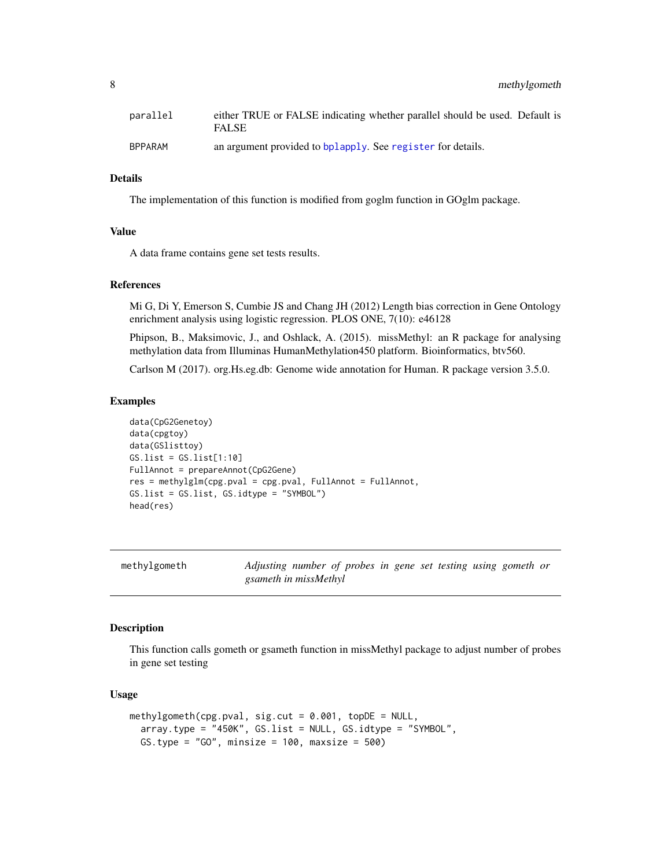<span id="page-7-0"></span>8 methylgometh

| parallel | either TRUE or FALSE indicating whether parallel should be used. Default is<br><b>FALSE</b> |
|----------|---------------------------------------------------------------------------------------------|
| BPPARAM  | an argument provided to bplapply. See register for details.                                 |

#### Details

The implementation of this function is modified from goglm function in GOglm package.

#### Value

A data frame contains gene set tests results.

#### References

Mi G, Di Y, Emerson S, Cumbie JS and Chang JH (2012) Length bias correction in Gene Ontology enrichment analysis using logistic regression. PLOS ONE, 7(10): e46128

Phipson, B., Maksimovic, J., and Oshlack, A. (2015). missMethyl: an R package for analysing methylation data from Illuminas HumanMethylation450 platform. Bioinformatics, btv560.

Carlson M (2017). org.Hs.eg.db: Genome wide annotation for Human. R package version 3.5.0.

#### Examples

```
data(CpG2Genetoy)
data(cpgtoy)
data(GSlisttoy)
GS.list = GS.list[1:10]
FullAnnot = prepareAnnot(CpG2Gene)
res = methylglm(cpg.pval = cpg.pval, FullAnnot = FullAnnot,
GS.list = GS.list, GS.idtype = "SYMBOL")
head(res)
```
methylgometh *Adjusting number of probes in gene set testing using gometh or gsameth in missMethyl*

#### Description

This function calls gometh or gsameth function in missMethyl package to adjust number of probes in gene set testing

#### Usage

```
methylgometh(cpg.pval, sig.cut = 0.001, topDE = NULL,
  array.type = "450K", GS.list = NULL, GS.idtype = "SYMBOL",
 GS.type = "GO", minsize = 100, maxsize = 500)
```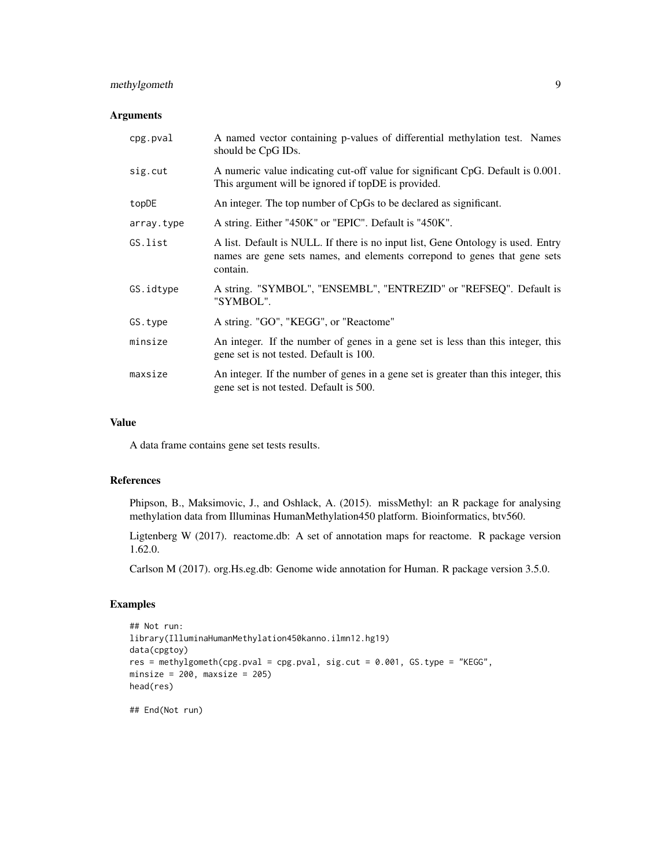#### methylgometh 9

#### Arguments

| cpg.pval   | A named vector containing p-values of differential methylation test. Names<br>should be CpG IDs.                                                                           |
|------------|----------------------------------------------------------------------------------------------------------------------------------------------------------------------------|
| sig.cut    | A numeric value indicating cut-off value for significant CpG. Default is 0.001.<br>This argument will be ignored if topDE is provided.                                     |
| topDE      | An integer. The top number of CpGs to be declared as significant.                                                                                                          |
| array.type | A string. Either "450K" or "EPIC". Default is "450K".                                                                                                                      |
| GS.list    | A list. Default is NULL. If there is no input list, Gene Ontology is used. Entry<br>names are gene sets names, and elements correspond to genes that gene sets<br>contain. |
| GS.idtype  | A string. "SYMBOL", "ENSEMBL", "ENTREZID" or "REFSEQ". Default is<br>"SYMBOL".                                                                                             |
| GS.type    | A string. "GO", "KEGG", or "Reactome"                                                                                                                                      |
| minsize    | An integer. If the number of genes in a gene set is less than this integer, this<br>gene set is not tested. Default is 100.                                                |
| maxsize    | An integer. If the number of genes in a gene set is greater than this integer, this<br>gene set is not tested. Default is 500.                                             |

#### Value

A data frame contains gene set tests results.

#### References

Phipson, B., Maksimovic, J., and Oshlack, A. (2015). missMethyl: an R package for analysing methylation data from Illuminas HumanMethylation450 platform. Bioinformatics, btv560.

Ligtenberg W (2017). reactome.db: A set of annotation maps for reactome. R package version 1.62.0.

Carlson M (2017). org.Hs.eg.db: Genome wide annotation for Human. R package version 3.5.0.

#### Examples

```
## Not run:
library(IlluminaHumanMethylation450kanno.ilmn12.hg19)
data(cpgtoy)
res = methylgometh(cpg.pval = cpg.pval, sig.cut = 0.001, GS.type = "KEGG",
minsize = 200, maxsize = 205)
head(res)
```
## End(Not run)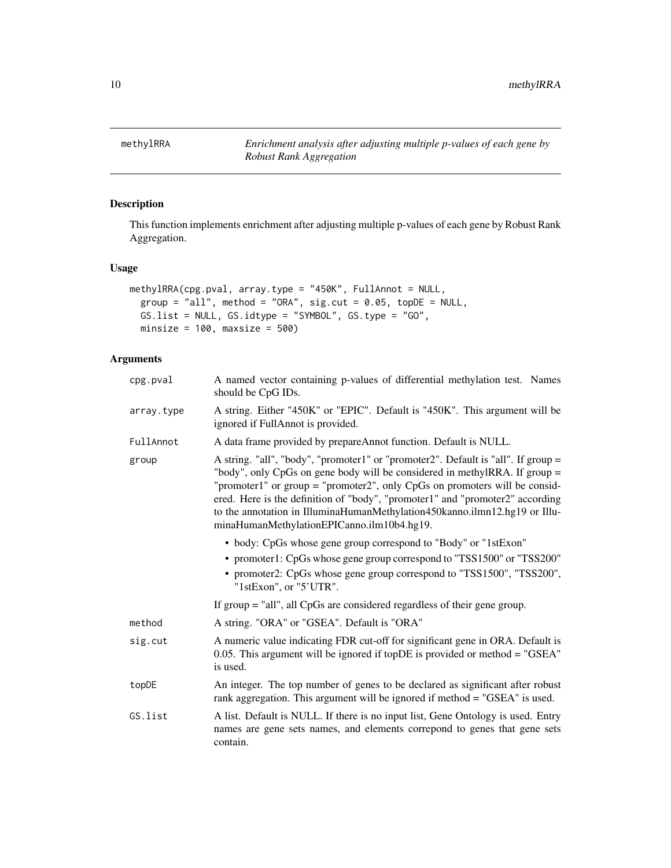<span id="page-9-0"></span>methylRRA *Enrichment analysis after adjusting multiple p-values of each gene by Robust Rank Aggregation*

#### Description

This function implements enrichment after adjusting multiple p-values of each gene by Robust Rank Aggregation.

#### Usage

```
methylRRA(cpg.pval, array.type = "450K", FullAnnot = NULL,
 group = "all", method = "ORA", sig.cut = 0.05, topDE = NULL,
 GS.list = NULL, GS.idtype = "SYMBOL", GS.type = "GO",
 minsize = 100, maxsize = 500)
```
#### Arguments

| cpg.pval   | A named vector containing p-values of differential methylation test. Names<br>should be CpG IDs.                                                                                                                                                                                                                                                                                                                                                             |  |  |
|------------|--------------------------------------------------------------------------------------------------------------------------------------------------------------------------------------------------------------------------------------------------------------------------------------------------------------------------------------------------------------------------------------------------------------------------------------------------------------|--|--|
| array.type | A string. Either "450K" or "EPIC". Default is "450K". This argument will be<br>ignored if FullAnnot is provided.                                                                                                                                                                                                                                                                                                                                             |  |  |
| FullAnnot  | A data frame provided by prepareAnnot function. Default is NULL.                                                                                                                                                                                                                                                                                                                                                                                             |  |  |
| group      | A string. "all", "body", "promoter1" or "promoter2". Default is "all". If group =<br>"body", only CpGs on gene body will be considered in methylRRA. If group =<br>"promoter1" or group = "promoter2", only $CpGs$ on promoters will be consid-<br>ered. Here is the definition of "body", "promoter1" and "promoter2" according<br>to the annotation in IlluminaHumanMethylation450kanno.ilmn12.hg19 or Illu-<br>minaHumanMethylationEPICanno.ilm10b4.hg19. |  |  |
|            | • body: CpGs whose gene group correspond to "Body" or "1stExon"<br>• promoter1: CpGs whose gene group correspond to "TSS1500" or "TSS200"<br>• promoter2: CpGs whose gene group correspond to "TSS1500", "TSS200",<br>"1stExon", or "5'UTR".                                                                                                                                                                                                                 |  |  |
|            | If $group = "all", all CpGs are considered regardless of their gene group.$                                                                                                                                                                                                                                                                                                                                                                                  |  |  |
| method     | A string. "ORA" or "GSEA". Default is "ORA"                                                                                                                                                                                                                                                                                                                                                                                                                  |  |  |
| sig.cut    | A numeric value indicating FDR cut-off for significant gene in ORA. Default is<br>0.05. This argument will be ignored if topDE is provided or method = " $GSEA$ "<br>is used.                                                                                                                                                                                                                                                                                |  |  |
| topDE      | An integer. The top number of genes to be declared as significant after robust<br>rank aggregation. This argument will be ignored if method = "GSEA" is used.                                                                                                                                                                                                                                                                                                |  |  |
| GS.list    | A list. Default is NULL. If there is no input list, Gene Ontology is used. Entry<br>names are gene sets names, and elements correpond to genes that gene sets<br>contain.                                                                                                                                                                                                                                                                                    |  |  |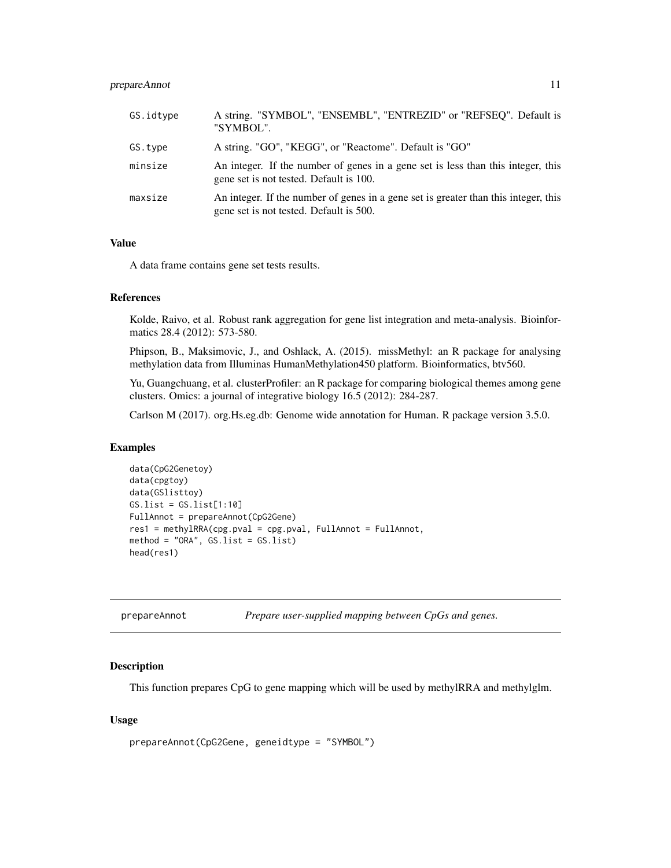#### <span id="page-10-0"></span>prepareAnnot 11

| GS.idtype | A string. "SYMBOL", "ENSEMBL", "ENTREZID" or "REFSEQ". Default is<br>"SYMBOL".                                                 |
|-----------|--------------------------------------------------------------------------------------------------------------------------------|
| GS.type   | A string. "GO", "KEGG", or "Reactome". Default is "GO"                                                                         |
| minsize   | An integer. If the number of genes in a gene set is less than this integer, this<br>gene set is not tested. Default is 100.    |
| maxsize   | An integer. If the number of genes in a gene set is greater than this integer, this<br>gene set is not tested. Default is 500. |

#### Value

A data frame contains gene set tests results.

#### References

Kolde, Raivo, et al. Robust rank aggregation for gene list integration and meta-analysis. Bioinformatics 28.4 (2012): 573-580.

Phipson, B., Maksimovic, J., and Oshlack, A. (2015). missMethyl: an R package for analysing methylation data from Illuminas HumanMethylation450 platform. Bioinformatics, btv560.

Yu, Guangchuang, et al. clusterProfiler: an R package for comparing biological themes among gene clusters. Omics: a journal of integrative biology 16.5 (2012): 284-287.

Carlson M (2017). org.Hs.eg.db: Genome wide annotation for Human. R package version 3.5.0.

#### **Examples**

```
data(CpG2Genetoy)
data(cpgtoy)
data(GSlisttoy)
GS.list = GS.list[1:10]
FullAnnot = prepareAnnot(CpG2Gene)
res1 = methylRRA(cpg.pval = cpg.pval, FullAnnot = FullAnnot,
method = "ORA", GS.list = GS.list)
head(res1)
```

| prepareAnnot |  |  |  | Prepare user-supplied mapping between CpGs and genes. |  |
|--------------|--|--|--|-------------------------------------------------------|--|
|--------------|--|--|--|-------------------------------------------------------|--|

#### Description

This function prepares CpG to gene mapping which will be used by methylRRA and methylglm.

#### Usage

```
prepareAnnot(CpG2Gene, geneidtype = "SYMBOL")
```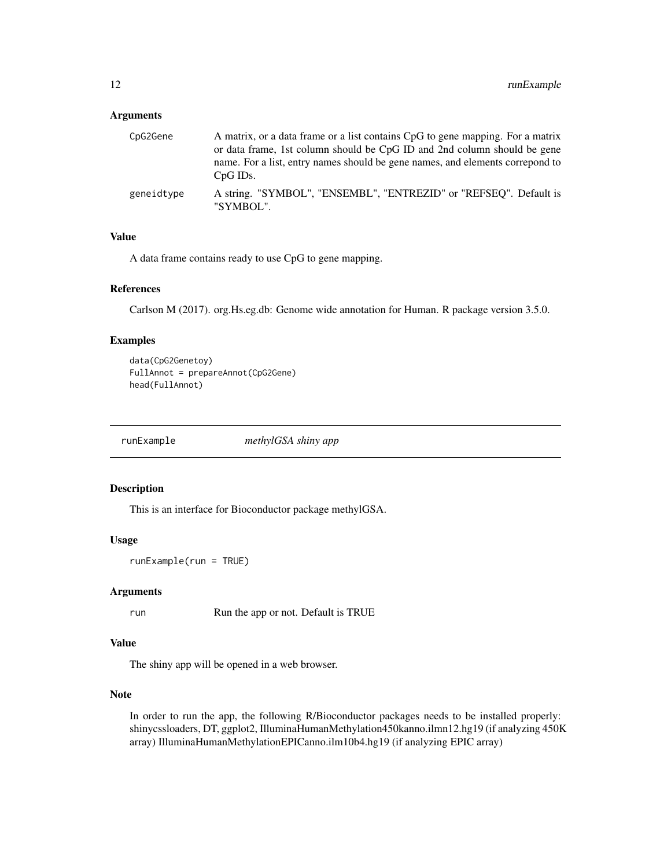#### <span id="page-11-0"></span>Arguments

| CpG2Gene   | A matrix, or a data frame or a list contains CpG to gene mapping. For a matrix<br>or data frame, 1st column should be CpG ID and 2nd column should be gene<br>name. For a list, entry names should be gene names, and elements correspond to<br>$CpG$ IDs. |
|------------|------------------------------------------------------------------------------------------------------------------------------------------------------------------------------------------------------------------------------------------------------------|
| geneidtype | A string. "SYMBOL", "ENSEMBL", "ENTREZID" or "REFSEQ". Default is<br>"SYMBOL".                                                                                                                                                                             |

#### Value

A data frame contains ready to use CpG to gene mapping.

#### References

Carlson M (2017). org.Hs.eg.db: Genome wide annotation for Human. R package version 3.5.0.

#### Examples

```
data(CpG2Genetoy)
FullAnnot = prepareAnnot(CpG2Gene)
head(FullAnnot)
```
runExample *methylGSA shiny app*

#### Description

This is an interface for Bioconductor package methylGSA.

#### Usage

```
runExample(run = TRUE)
```
#### Arguments

run Run the app or not. Default is TRUE

#### Value

The shiny app will be opened in a web browser.

#### Note

In order to run the app, the following R/Bioconductor packages needs to be installed properly: shinycssloaders, DT, ggplot2, IlluminaHumanMethylation450kanno.ilmn12.hg19 (if analyzing 450K array) IlluminaHumanMethylationEPICanno.ilm10b4.hg19 (if analyzing EPIC array)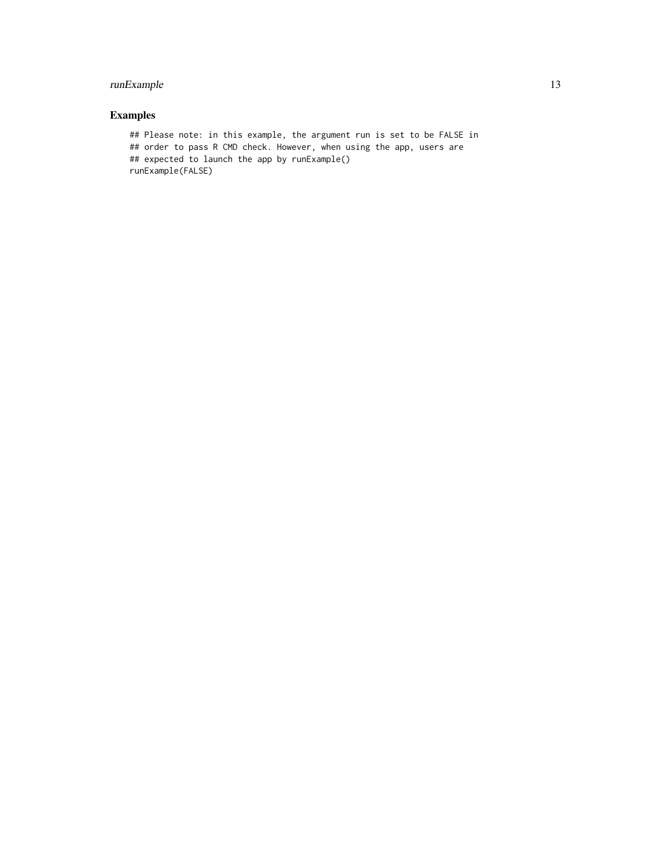#### runExample 13

#### Examples

## Please note: in this example, the argument run is set to be FALSE in ## order to pass R CMD check. However, when using the app, users are ## expected to launch the app by runExample() runExample(FALSE)